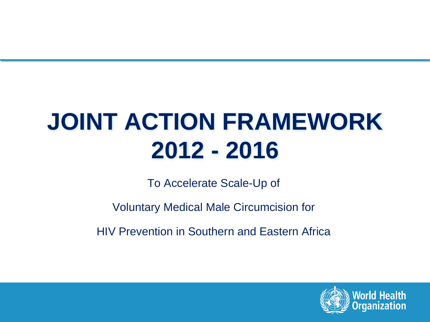# **JOINT ACTION FRAMEWORK 2012 - 2016**

To Accelerate Scale-Up of

Voluntary Medical Male Circumcision for

HIV Prevention in Southern and Eastern Africa

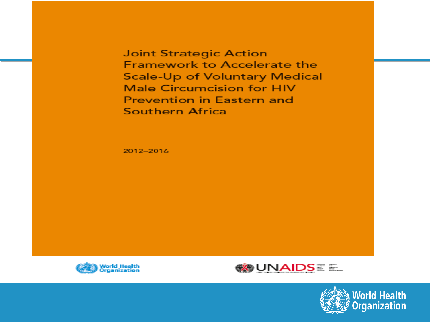**Joint Strategic Action Framework to Accelerate the Scale-Up of Voluntary Medical Male Circumcision for HIV Prevention in Eastern and Southern Africa** 

2012-2016





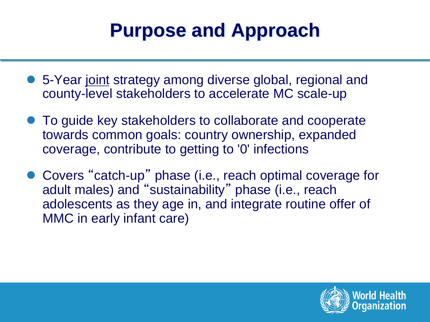### **Purpose and Approach**

- 5-Year joint strategy among diverse global, regional and county-level stakeholders to accelerate MC scale-up
- To guide key stakeholders to collaborate and cooperate towards common goals: country ownership, expanded coverage, contribute to getting to '0' infections
- Covers "catch-up" phase (i.e., reach optimal coverage for adult males) and "sustainability" phase (i.e., reach adolescents as they age in, and integrate routine offer of MMC in early infant care)

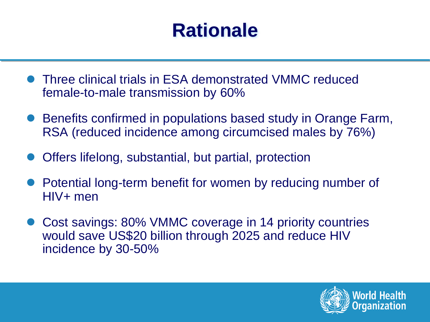### **Rationale**

- l Three clinical trials in ESA demonstrated VMMC reduced female-to-male transmission by 60%
- Benefits confirmed in populations based study in Orange Farm, RSA (reduced incidence among circumcised males by 76%)
- Offers lifelong, substantial, but partial, protection
- Potential long-term benefit for women by reducing number of HIV+ men
- Cost savings: 80% VMMC coverage in 14 priority countries would save US\$20 billion through 2025 and reduce HIV incidence by 30-50%

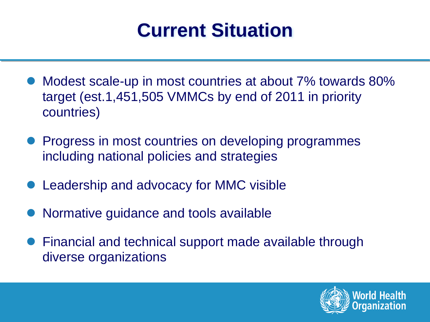### **Current Situation**

- Modest scale-up in most countries at about 7% towards 80% target (est.1,451,505 VMMCs by end of 2011 in priority countries)
- Progress in most countries on developing programmes including national policies and strategies
- Leadership and advocacy for MMC visible
- l Normative guidance and tools available
- Financial and technical support made available through diverse organizations

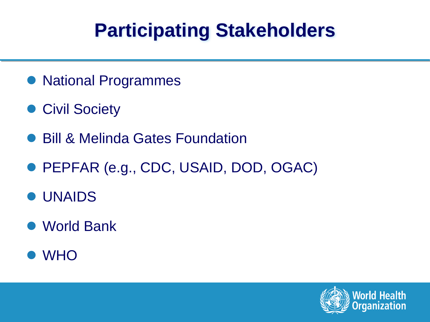## **Participating Stakeholders**

- **National Programmes**
- **Civil Society**
- **Bill & Melinda Gates Foundation**
- PEPFAR (e.g., CDC, USAID, DOD, OGAC)
- **UNAIDS**
- World Bank
- l WHO

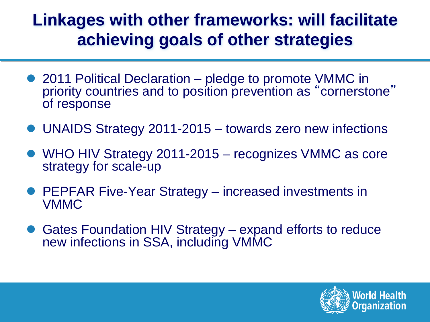#### **Linkages with other frameworks: will facilitate achieving goals of other strategies**

- 2011 Political Declaration pledge to promote VMMC in priority countries and to position prevention as "cornerstone" of response
- l UNAIDS Strategy 2011-2015 towards zero new infections
- WHO HIV Strategy 2011-2015 recognizes VMMC as core strategy for scale-up
- **PEPFAR Five-Year Strategy increased investments in** VMMC
- Gates Foundation HIV Strategy expand efforts to reduce new infections in SSA, including VMMC

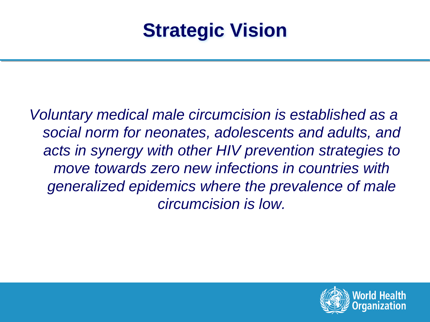### **Strategic Vision**

*Voluntary medical male circumcision is established as a social norm for neonates, adolescents and adults, and acts in synergy with other HIV prevention strategies to move towards zero new infections in countries with generalized epidemics where the prevalence of male circumcision is low.* 

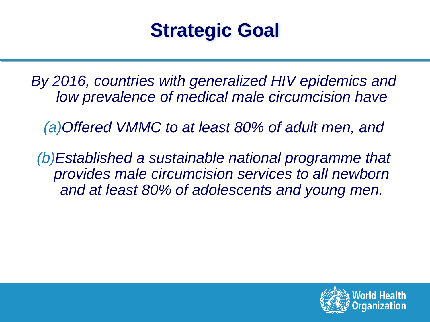### **Strategic Goal**

*By 2016, countries with generalized HIV epidemics and low prevalence of medical male circumcision have* 

*(a)Offered VMMC to at least 80% of adult men, and* 

*(b)Established a sustainable national programme that provides male circumcision services to all newborn and at least 80% of adolescents and young men.* 

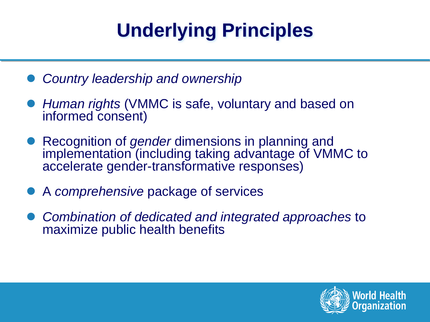# **Underlying Principles**

- *Country leadership and ownership*
- *Human rights* (VMMC is safe, voluntary and based on informed consent)
- **ID Recognition of** *gender* dimensions in planning and implementation (including taking advantage of VMMC to accelerate gender-transformative responses)
- l A *comprehensive* package of services
- l *Combination of dedicated and integrated approaches* to maximize public health benefits

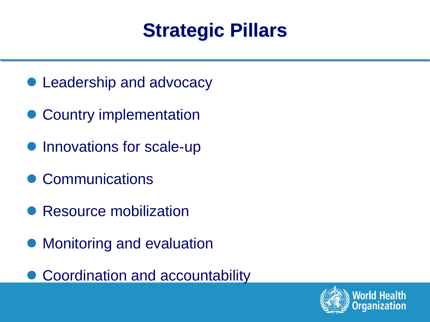### **Strategic Pillars**

- Leadership and advocacy
- Country implementation
- Innovations for scale-up
- Communications
- Resource mobilization
- Monitoring and evaluation
- **Coordination and accountability**

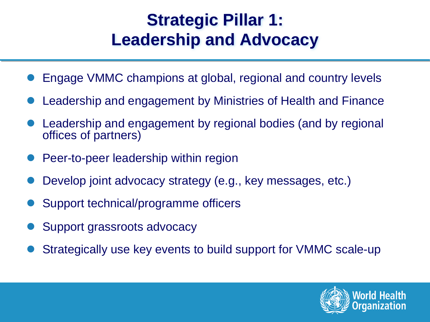#### **Strategic Pillar 1: Leadership and Advocacy**

- Engage VMMC champions at global, regional and country levels
- Leadership and engagement by Ministries of Health and Finance
- Leadership and engagement by regional bodies (and by regional offices of partners)
- Peer-to-peer leadership within region
- Develop joint advocacy strategy (e.g., key messages, etc.)
- Support technical/programme officers
- Support grassroots advocacy
- l Strategically use key events to build support for VMMC scale-up

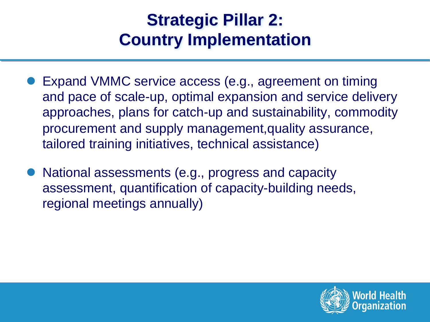#### **Strategic Pillar 2: Country Implementation**

- Expand VMMC service access (e.g., agreement on timing and pace of scale-up, optimal expansion and service delivery approaches, plans for catch-up and sustainability, commodity procurement and supply management,quality assurance, tailored training initiatives, technical assistance)
- National assessments (e.g., progress and capacity assessment, quantification of capacity-building needs, regional meetings annually)

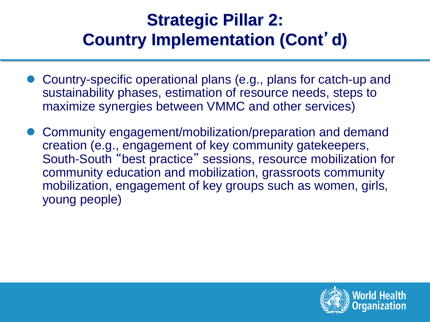#### **Strategic Pillar 2: Country Implementation (Cont**'**d)**

- l Country-specific operational plans (e.g., plans for catch-up and sustainability phases, estimation of resource needs, steps to maximize synergies between VMMC and other services)
- l Community engagement/mobilization/preparation and demand creation (e.g., engagement of key community gatekeepers, South-South "best practice" sessions, resource mobilization for community education and mobilization, grassroots community mobilization, engagement of key groups such as women, girls, young people)

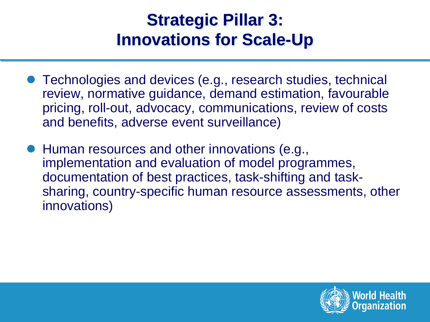#### **Strategic Pillar 3: Innovations for Scale-Up**

- Technologies and devices (e.g., research studies, technical review, normative guidance, demand estimation, favourable pricing, roll-out, advocacy, communications, review of costs and benefits, adverse event surveillance)
- Human resources and other innovations (e.g., implementation and evaluation of model programmes, documentation of best practices, task-shifting and tasksharing, country-specific human resource assessments, other innovations)

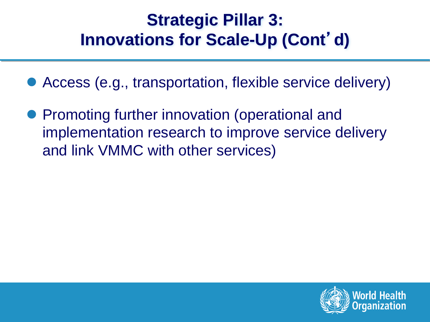#### **Strategic Pillar 3: Innovations for Scale-Up (Cont**'**d)**

- Access (e.g., transportation, flexible service delivery)
- Promoting further innovation (operational and implementation research to improve service delivery and link VMMC with other services)

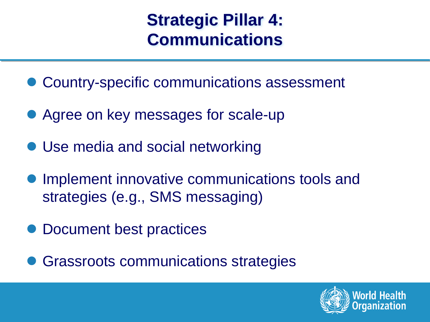#### **Strategic Pillar 4: Communications**

- Country-specific communications assessment
- Agree on key messages for scale-up
- Use media and social networking
- **Implement innovative communications tools and** strategies (e.g., SMS messaging)
- Document best practices
- **Grassroots communications strategies**

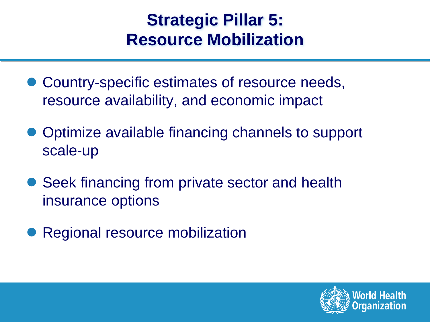#### **Strategic Pillar 5: Resource Mobilization**

- Country-specific estimates of resource needs, resource availability, and economic impact
- Optimize available financing channels to support scale-up
- Seek financing from private sector and health insurance options
- Regional resource mobilization

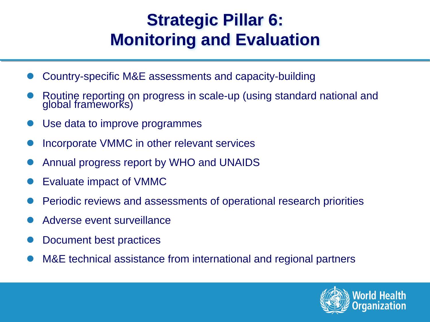#### **Strategic Pillar 6: Monitoring and Evaluation**

- Country-specific M&E assessments and capacity-building
- Routine reporting on progress in scale-up (using standard national and global frameworks)
- Use data to improve programmes
- Incorporate VMMC in other relevant services
- l Annual progress report by WHO and UNAIDS
- Evaluate impact of VMMC
- l Periodic reviews and assessments of operational research priorities
- Adverse event surveillance
- Document best practices
- M&E technical assistance from international and regional partners

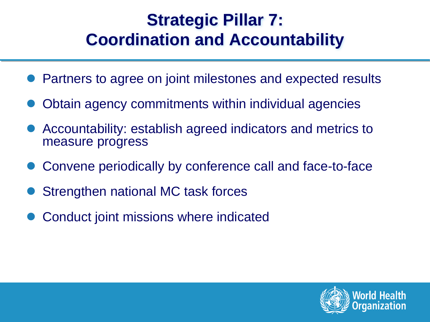#### **Strategic Pillar 7: Coordination and Accountability**

- Partners to agree on joint milestones and expected results
- Obtain agency commitments within individual agencies
- Accountability: establish agreed indicators and metrics to measure progress
- Convene periodically by conference call and face-to-face
- Strengthen national MC task forces
- Conduct joint missions where indicated